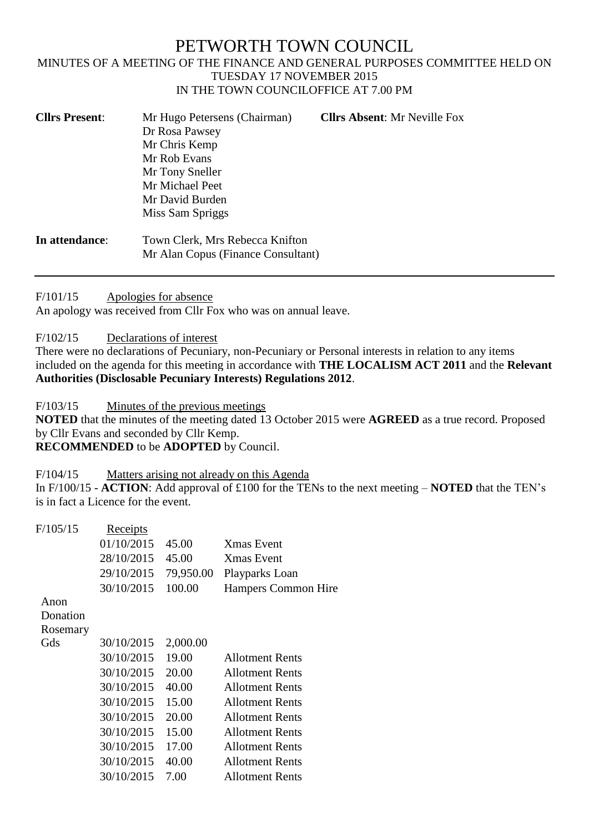# PETWORTH TOWN COUNCIL

#### MINUTES OF A MEETING OF THE FINANCE AND GENERAL PURPOSES COMMITTEE HELD ON TUESDAY 17 NOVEMBER 2015 IN THE TOWN COUNCILOFFICE AT 7.00 PM

| <b>Cllrs Present:</b> | Mr Hugo Petersens (Chairman)<br>Dr Rosa Pawsey<br>Mr Chris Kemp<br>Mr Rob Evans<br>Mr Tony Sneller<br>Mr Michael Peet<br>Mr David Burden<br>Miss Sam Spriggs | <b>Clirs Absent: Mr Neville Fox</b> |
|-----------------------|--------------------------------------------------------------------------------------------------------------------------------------------------------------|-------------------------------------|
| In attendance:        | Town Clerk, Mrs Rebecca Knifton<br>Mr Alan Copus (Finance Consultant)                                                                                        |                                     |

F/101/15 Apologies for absence

An apology was received from Cllr Fox who was on annual leave.

F/102/15 Declarations of interest

There were no declarations of Pecuniary, non-Pecuniary or Personal interests in relation to any items included on the agenda for this meeting in accordance with **THE LOCALISM ACT 2011** and the **Relevant Authorities (Disclosable Pecuniary Interests) Regulations 2012**.

F/103/15 Minutes of the previous meetings

**NOTED** that the minutes of the meeting dated 13 October 2015 were **AGREED** as a true record. Proposed by Cllr Evans and seconded by Cllr Kemp.

**RECOMMENDED** to be **ADOPTED** by Council.

F/104/15 Matters arising not already on this Agenda

In F/100/15 - **ACTION**: Add approval of £100 for the TENs to the next meeting – **NOTED** that the TEN's is in fact a Licence for the event.

| <u>Receipts</u> |           |                        |
|-----------------|-----------|------------------------|
| 01/10/2015      | 45.00     | <b>Xmas</b> Event      |
| 28/10/2015      | 45.00     | <b>Xmas</b> Event      |
| 29/10/2015      | 79,950.00 | Playparks Loan         |
| 30/10/2015      | 100.00    | Hampers Common Hire    |
|                 |           |                        |
|                 |           |                        |
|                 |           |                        |
| 30/10/2015      | 2,000.00  |                        |
| 30/10/2015      | 19.00     | <b>Allotment Rents</b> |
| 30/10/2015      | 20.00     | <b>Allotment Rents</b> |
| 30/10/2015      | 40.00     | Allotment Rents        |
| 30/10/2015      | 15.00     | <b>Allotment Rents</b> |
| 30/10/2015      | 20.00     | <b>Allotment Rents</b> |
| 30/10/2015      | 15.00     | <b>Allotment Rents</b> |
| 30/10/2015      | 17.00     | <b>Allotment Rents</b> |
| 30/10/2015      | 40.00     | Allotment Rents        |
| 30/10/2015      | 7.00      | Allotment Rents        |
|                 |           |                        |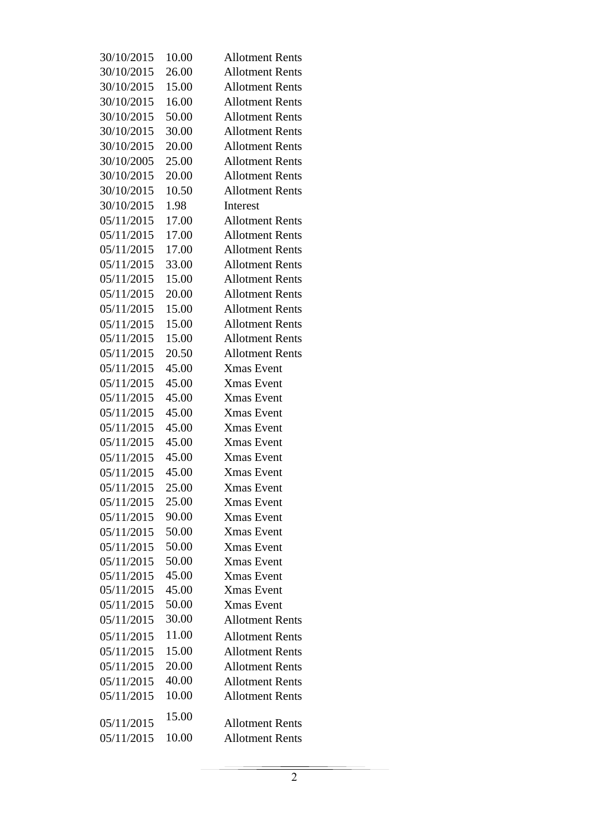| 30/10/2015 | 10.00 | <b>Allotment Rents</b> |
|------------|-------|------------------------|
| 30/10/2015 | 26.00 | <b>Allotment Rents</b> |
| 30/10/2015 | 15.00 | <b>Allotment Rents</b> |
| 30/10/2015 | 16.00 | <b>Allotment Rents</b> |
| 30/10/2015 | 50.00 | <b>Allotment Rents</b> |
| 30/10/2015 | 30.00 | <b>Allotment Rents</b> |
| 30/10/2015 | 20.00 | <b>Allotment Rents</b> |
| 30/10/2005 | 25.00 | <b>Allotment Rents</b> |
| 30/10/2015 | 20.00 | <b>Allotment Rents</b> |
| 30/10/2015 | 10.50 | <b>Allotment Rents</b> |
| 30/10/2015 | 1.98  | Interest               |
| 05/11/2015 | 17.00 | <b>Allotment Rents</b> |
| 05/11/2015 | 17.00 | <b>Allotment Rents</b> |
| 05/11/2015 | 17.00 | <b>Allotment Rents</b> |
| 05/11/2015 | 33.00 | <b>Allotment Rents</b> |
| 05/11/2015 | 15.00 | <b>Allotment Rents</b> |
| 05/11/2015 | 20.00 | <b>Allotment Rents</b> |
| 05/11/2015 | 15.00 | <b>Allotment Rents</b> |
| 05/11/2015 | 15.00 | <b>Allotment Rents</b> |
| 05/11/2015 | 15.00 | <b>Allotment Rents</b> |
| 05/11/2015 | 20.50 | <b>Allotment Rents</b> |
| 05/11/2015 | 45.00 | <b>Xmas Event</b>      |
| 05/11/2015 | 45.00 | Xmas Event             |
| 05/11/2015 | 45.00 | <b>Xmas Event</b>      |
| 05/11/2015 | 45.00 | <b>Xmas Event</b>      |
| 05/11/2015 | 45.00 | <b>Xmas Event</b>      |
| 05/11/2015 | 45.00 | <b>Xmas Event</b>      |
| 05/11/2015 | 45.00 | <b>Xmas Event</b>      |
| 05/11/2015 | 45.00 | <b>Xmas Event</b>      |
| 05/11/2015 | 25.00 | <b>Xmas Event</b>      |
| 05/11/2015 | 25.00 | <b>Xmas</b> Event      |
| 05/11/2015 | 90.00 | <b>Xmas Event</b>      |
| 05/11/2015 | 50.00 | <b>Xmas Event</b>      |
| 05/11/2015 | 50.00 | <b>Xmas Event</b>      |
| 05/11/2015 | 50.00 | <b>Xmas Event</b>      |
| 05/11/2015 | 45.00 | <b>Xmas Event</b>      |
| 05/11/2015 | 45.00 | <b>Xmas</b> Event      |
| 05/11/2015 | 50.00 | <b>Xmas Event</b>      |
| 05/11/2015 | 30.00 | <b>Allotment Rents</b> |
| 05/11/2015 | 11.00 | <b>Allotment Rents</b> |
| 05/11/2015 | 15.00 | <b>Allotment Rents</b> |
| 05/11/2015 | 20.00 | <b>Allotment Rents</b> |
| 05/11/2015 | 40.00 | <b>Allotment Rents</b> |
| 05/11/2015 | 10.00 | <b>Allotment Rents</b> |
|            | 15.00 |                        |
| 05/11/2015 |       | <b>Allotment Rents</b> |
| 05/11/2015 | 10.00 | <b>Allotment Rents</b> |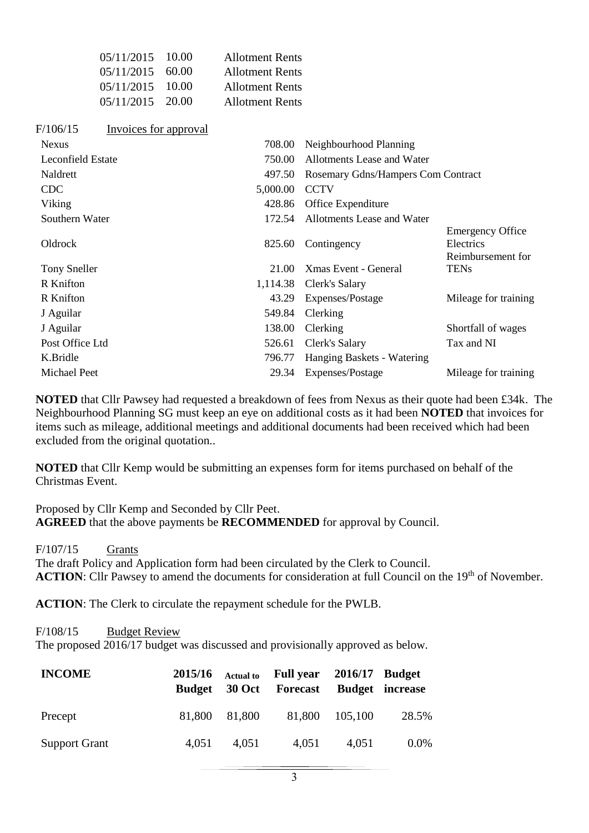|                          | 05/11/2015            | 10.00 | <b>Allotment Rents</b> |                                    |                                      |
|--------------------------|-----------------------|-------|------------------------|------------------------------------|--------------------------------------|
|                          | 05/11/2015            | 60.00 | <b>Allotment Rents</b> |                                    |                                      |
|                          | 05/11/2015            | 10.00 | <b>Allotment Rents</b> |                                    |                                      |
|                          | 05/11/2015            | 20.00 | <b>Allotment Rents</b> |                                    |                                      |
| F/106/15                 | Invoices for approval |       |                        |                                    |                                      |
| <b>Nexus</b>             |                       |       | 708.00                 | Neighbourhood Planning             |                                      |
| <b>Leconfield Estate</b> |                       |       | 750.00                 | Allotments Lease and Water         |                                      |
| Naldrett                 |                       |       | 497.50                 | Rosemary Gdns/Hampers Com Contract |                                      |
| <b>CDC</b>               |                       |       | 5,000.00               | <b>CCTV</b>                        |                                      |
| Viking                   |                       |       | 428.86                 | Office Expenditure                 |                                      |
| Southern Water           |                       |       | 172.54                 | Allotments Lease and Water         |                                      |
| Oldrock                  |                       |       | 825.60                 | Contingency                        | <b>Emergency Office</b><br>Electrics |
| <b>Tony Sneller</b>      |                       |       | 21.00                  | <b>Xmas Event - General</b>        | Reimbursement for<br><b>TENs</b>     |
| R Knifton                |                       |       | 1,114.38               | Clerk's Salary                     |                                      |
| R Knifton                |                       |       | 43.29                  | Expenses/Postage                   | Mileage for training                 |
| J Aguilar                |                       |       | 549.84                 | Clerking                           |                                      |
| J Aguilar                |                       |       | 138.00                 | Clerking                           | Shortfall of wages                   |
| Post Office Ltd          |                       |       | 526.61                 | Clerk's Salary                     | Tax and NI                           |
| K.Bridle                 |                       |       | 796.77                 | Hanging Baskets - Watering         |                                      |
| Michael Peet             |                       |       | 29.34                  | Expenses/Postage                   | Mileage for training                 |

**NOTED** that Cllr Pawsey had requested a breakdown of fees from Nexus as their quote had been £34k. The Neighbourhood Planning SG must keep an eye on additional costs as it had been **NOTED** that invoices for items such as mileage, additional meetings and additional documents had been received which had been excluded from the original quotation..

**NOTED** that Cllr Kemp would be submitting an expenses form for items purchased on behalf of the Christmas Event.

Proposed by Cllr Kemp and Seconded by Cllr Peet. **AGREED** that the above payments be **RECOMMENDED** for approval by Council.

#### F/107/15 Grants

The draft Policy and Application form had been circulated by the Clerk to Council. ACTION: Cllr Pawsey to amend the documents for consideration at full Council on the 19<sup>th</sup> of November.

**ACTION**: The Clerk to circulate the repayment schedule for the PWLB.

#### F/108/15 Budget Review

The proposed 2016/17 budget was discussed and provisionally approved as below.

| <b>INCOME</b>        | 2015/16<br>Budget | <b>Actual to</b> | Full year 2016/17 Budget<br>30 Oct Forecast Budget increase |         |         |
|----------------------|-------------------|------------------|-------------------------------------------------------------|---------|---------|
| Precept              |                   | 81,800 81,800    | 81,800                                                      | 105,100 | 28.5%   |
| <b>Support Grant</b> | 4,051             | 4,051            | 4,051                                                       | 4,051   | $0.0\%$ |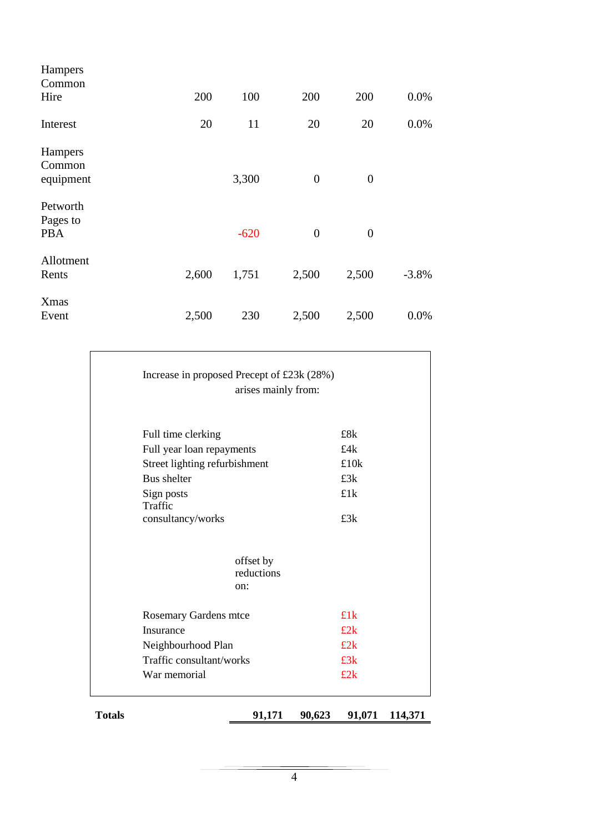| Hampers<br>Common<br>Hire          | 200   | 100    | 200            | 200            | 0.0%    |
|------------------------------------|-------|--------|----------------|----------------|---------|
|                                    |       |        |                |                |         |
| Interest                           | 20    | 11     | 20             | 20             | 0.0%    |
| Hampers<br>Common<br>equipment     |       | 3,300  | $\overline{0}$ | $\overline{0}$ |         |
| Petworth<br>Pages to<br><b>PBA</b> |       | $-620$ | $\overline{0}$ | $\overline{0}$ |         |
| Allotment<br>Rents                 | 2,600 | 1,751  | 2,500          | 2,500          | $-3.8%$ |
| <b>X</b> mas<br>Event              | 2,500 | 230    | 2,500          | 2,500          | 0.0%    |

| War memorial                                 |                     | £2k            |  |
|----------------------------------------------|---------------------|----------------|--|
| Traffic consultant/works                     |                     | £3k            |  |
| Neighbourhood Plan                           |                     | £2k            |  |
| Insurance                                    |                     | £2k            |  |
| <b>Rosemary Gardens mtce</b>                 |                     | £1k            |  |
|                                              | on:                 |                |  |
|                                              | reductions          |                |  |
|                                              | offset by           |                |  |
| consultancy/works                            |                     | £3k            |  |
| Sign posts<br>Traffic                        |                     |                |  |
|                                              |                     | £3k<br>£1k     |  |
| Street lighting refurbishment<br>Bus shelter |                     |                |  |
| Full year loan repayments                    |                     | £4 $k$<br>£10k |  |
| Full time clerking                           |                     | £8k            |  |
|                                              | arises mainly from: |                |  |
| Increase in proposed Precept of £23k (28%)   |                     |                |  |
|                                              |                     |                |  |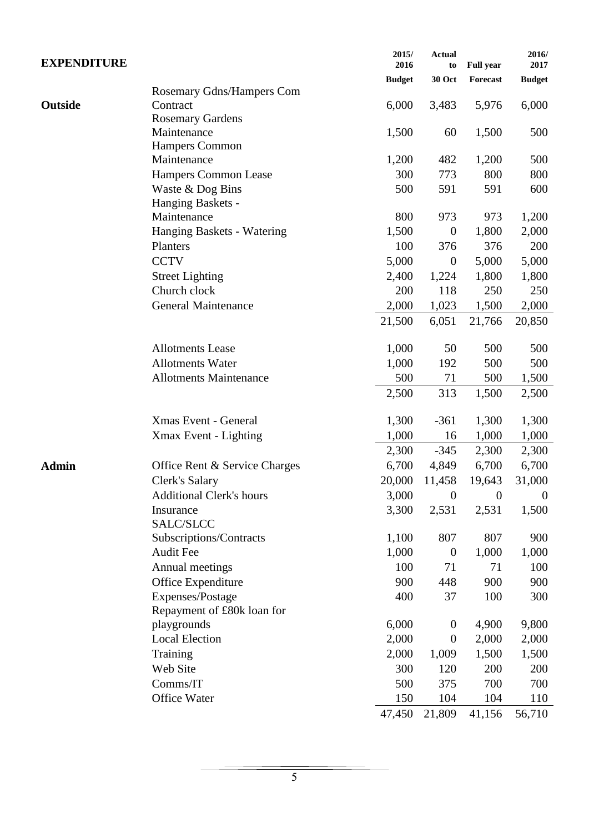| <b>EXPENDITURE</b> |                                 | 2015/<br>2016 | <b>Actual</b><br>to | <b>Full year</b> | 2016/<br>2017  |
|--------------------|---------------------------------|---------------|---------------------|------------------|----------------|
|                    |                                 | <b>Budget</b> | <b>30 Oct</b>       | Forecast         | <b>Budget</b>  |
|                    | Rosemary Gdns/Hampers Com       |               |                     |                  |                |
| Outside            | Contract                        | 6,000         | 3,483               | 5,976            | 6,000          |
|                    | <b>Rosemary Gardens</b>         |               |                     |                  |                |
|                    | Maintenance                     | 1,500         | 60                  | 1,500            | 500            |
|                    | <b>Hampers Common</b>           |               |                     |                  |                |
|                    | Maintenance                     | 1,200         | 482                 | 1,200            | 500            |
|                    | <b>Hampers Common Lease</b>     | 300           | 773                 | 800              | 800            |
|                    | Waste & Dog Bins                | 500           | 591                 | 591              | 600            |
|                    | Hanging Baskets -               |               |                     |                  |                |
|                    | Maintenance                     | 800           | 973                 | 973              | 1,200          |
|                    | Hanging Baskets - Watering      | 1,500         | $\boldsymbol{0}$    | 1,800            | 2,000          |
|                    | Planters                        | 100           | 376                 | 376              | 200            |
|                    | <b>CCTV</b>                     | 5,000         | $\boldsymbol{0}$    | 5,000            | 5,000          |
|                    | <b>Street Lighting</b>          | 2,400         | 1,224               | 1,800            | 1,800          |
|                    | Church clock                    | 200           | 118                 | 250              | 250            |
|                    | <b>General Maintenance</b>      | 2,000         | 1,023               | 1,500            | 2,000          |
|                    |                                 | 21,500        | 6,051               | 21,766           | 20,850         |
|                    | <b>Allotments Lease</b>         | 1,000         | 50                  | 500              | 500            |
|                    | <b>Allotments Water</b>         | 1,000         | 192                 | 500              | 500            |
|                    | <b>Allotments Maintenance</b>   | 500           | 71                  | 500              | 1,500          |
|                    |                                 | 2,500         | 313                 | 1,500            | 2,500          |
|                    | Xmas Event - General            | 1,300         | $-361$              | 1,300            | 1,300          |
|                    | Xmax Event - Lighting           | 1,000         | 16                  | 1,000            | 1,000          |
|                    |                                 | 2,300         | $-345$              | 2,300            | 2,300          |
| <b>Admin</b>       | Office Rent & Service Charges   | 6,700         | 4,849               | 6,700            | 6,700          |
|                    | Clerk's Salary                  | 20,000        | 11,458              | 19,643           | 31,000         |
|                    | <b>Additional Clerk's hours</b> | 3,000         | $\mathbf{0}$        | $\boldsymbol{0}$ | $\overline{0}$ |
|                    | Insurance                       | 3,300         | 2,531               | 2,531            | 1,500          |
|                    | SALC/SLCC                       |               |                     |                  |                |
|                    | Subscriptions/Contracts         | 1,100         | 807                 | 807              | 900            |
|                    | <b>Audit Fee</b>                | 1,000         | $\boldsymbol{0}$    | 1,000            | 1,000          |
|                    | Annual meetings                 | 100           | 71                  | 71               | 100            |
|                    | Office Expenditure              | 900           | 448                 | 900              | 900            |
|                    | Expenses/Postage                | 400           | 37                  | 100              | 300            |
|                    | Repayment of £80k loan for      |               |                     |                  |                |
|                    | playgrounds                     | 6,000         | $\boldsymbol{0}$    | 4,900            | 9,800          |
|                    | <b>Local Election</b>           | 2,000         | $\boldsymbol{0}$    | 2,000            | 2,000          |
|                    | Training                        | 2,000         | 1,009               | 1,500            | 1,500          |
|                    | Web Site                        | 300           | 120                 | 200              | 200            |
|                    | Comms/IT                        | 500           | 375                 | 700              | 700            |
|                    | Office Water                    | 150           | 104                 | 104              | 110            |
|                    |                                 | 47,450        | 21,809              | 41,156           | 56,710         |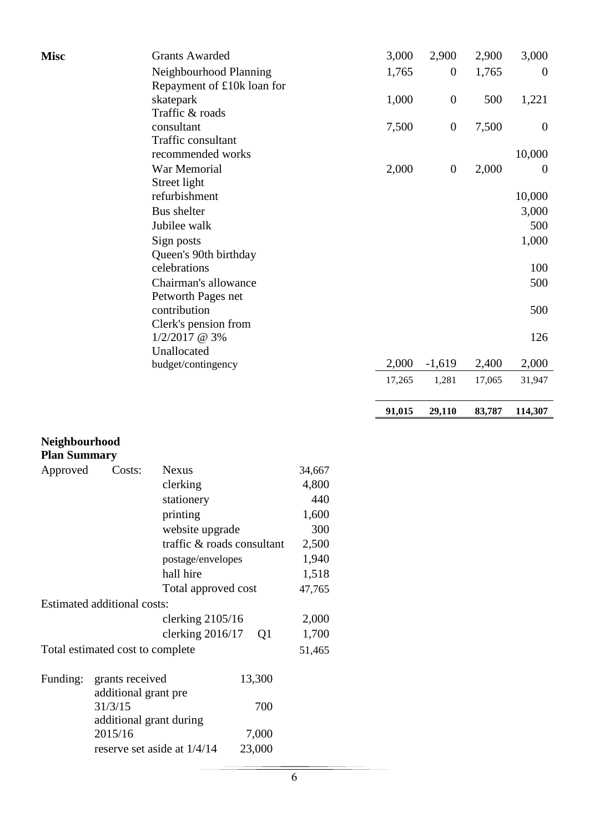| <b>Misc</b>         |                                         | <b>Grants Awarded</b>              |                 |        | 3,000  | 2,900            | 2,900  | 3,000            |
|---------------------|-----------------------------------------|------------------------------------|-----------------|--------|--------|------------------|--------|------------------|
|                     |                                         | Neighbourhood Planning             |                 |        | 1,765  | $\boldsymbol{0}$ | 1,765  | $\boldsymbol{0}$ |
|                     |                                         | Repayment of £10k loan for         |                 |        |        |                  |        |                  |
|                     |                                         | skatepark                          |                 |        | 1,000  | $\boldsymbol{0}$ | 500    | 1,221            |
|                     |                                         | Traffic & roads                    |                 |        |        |                  |        |                  |
|                     |                                         | consultant<br>Traffic consultant   |                 |        | 7,500  | $\boldsymbol{0}$ | 7,500  | $\boldsymbol{0}$ |
|                     |                                         | recommended works                  |                 |        |        |                  |        | 10,000           |
|                     |                                         | War Memorial                       |                 |        | 2,000  | $\boldsymbol{0}$ | 2,000  | $\boldsymbol{0}$ |
|                     |                                         | Street light                       |                 |        |        |                  |        |                  |
|                     |                                         | refurbishment                      |                 |        |        |                  |        | 10,000           |
|                     |                                         | Bus shelter                        |                 |        |        |                  |        | 3,000            |
|                     |                                         | Jubilee walk                       |                 |        |        |                  |        | 500              |
|                     |                                         | Sign posts                         |                 |        |        |                  |        | 1,000            |
|                     |                                         | Queen's 90th birthday              |                 |        |        |                  |        |                  |
|                     |                                         | celebrations                       |                 |        |        |                  |        | 100              |
|                     |                                         | Chairman's allowance               |                 |        |        |                  |        | 500              |
|                     |                                         | Petworth Pages net<br>contribution |                 |        |        |                  |        |                  |
|                     |                                         | Clerk's pension from               |                 |        |        |                  |        | 500              |
|                     |                                         | 1/2/2017 @ 3%                      |                 |        |        |                  |        | 126              |
|                     |                                         | Unallocated                        |                 |        |        |                  |        |                  |
|                     |                                         | budget/contingency                 |                 |        | 2,000  | $-1,619$         | 2,400  | 2,000            |
|                     |                                         |                                    |                 |        | 17,265 | 1,281            | 17,065 | 31,947           |
|                     |                                         |                                    |                 |        |        |                  |        |                  |
|                     |                                         |                                    |                 |        |        |                  |        |                  |
|                     |                                         |                                    |                 |        | 91,015 | 29,110           | 83,787 | 114,307          |
|                     |                                         |                                    |                 |        |        |                  |        |                  |
| Neighbourhood       |                                         |                                    |                 |        |        |                  |        |                  |
| <b>Plan Summary</b> |                                         |                                    |                 |        |        |                  |        |                  |
| Approved            | Costs:                                  | <b>Nexus</b>                       |                 | 34,667 |        |                  |        |                  |
|                     |                                         | clerking                           |                 | 4,800  |        |                  |        |                  |
|                     |                                         | stationery                         |                 | 440    |        |                  |        |                  |
|                     |                                         | printing                           |                 | 1,600  |        |                  |        |                  |
|                     |                                         | website upgrade                    |                 | 300    |        |                  |        |                  |
|                     |                                         | traffic & roads consultant         |                 | 2,500  |        |                  |        |                  |
|                     |                                         | postage/envelopes                  |                 | 1,940  |        |                  |        |                  |
|                     |                                         | hall hire                          |                 | 1,518  |        |                  |        |                  |
|                     |                                         | Total approved cost                |                 | 47,765 |        |                  |        |                  |
|                     | Estimated additional costs:             |                                    |                 |        |        |                  |        |                  |
|                     |                                         | clerking $2105/16$                 |                 | 2,000  |        |                  |        |                  |
|                     |                                         | clerking 2016/17                   | Q1              | 1,700  |        |                  |        |                  |
|                     | Total estimated cost to complete        |                                    |                 | 51,465 |        |                  |        |                  |
|                     |                                         |                                    |                 |        |        |                  |        |                  |
| Funding:            | grants received<br>additional grant pre |                                    | 13,300          |        |        |                  |        |                  |
|                     | 31/3/15                                 |                                    | 700             |        |        |                  |        |                  |
|                     | additional grant during                 |                                    |                 |        |        |                  |        |                  |
|                     | 2015/16                                 | reserve set aside at $1/4/14$      | 7,000<br>23,000 |        |        |                  |        |                  |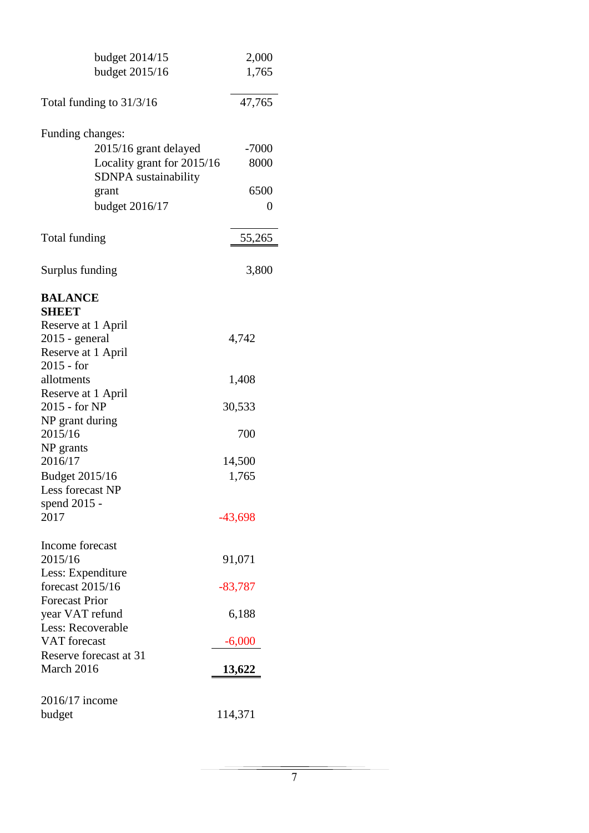| budget 2014/15             | 2,000          |
|----------------------------|----------------|
| budget 2015/16             | 1,765          |
|                            |                |
| Total funding to $31/3/16$ | 47,765         |
|                            |                |
| Funding changes:           |                |
| 2015/16 grant delayed      | $-7000$        |
| Locality grant for 2015/16 | 8000           |
| SDNPA sustainability       |                |
| grant                      | 6500           |
| budget 2016/17             | $\overline{0}$ |
|                            |                |
| Total funding              | 55,265         |
|                            |                |
|                            |                |
| Surplus funding            | 3,800          |
| <b>BALANCE</b>             |                |
| <b>SHEET</b>               |                |
| Reserve at 1 April         |                |
| $2015$ - general           | 4,742          |
| Reserve at 1 April         |                |
| $2015 - for$               |                |
| allotments                 | 1,408          |
| Reserve at 1 April         |                |
| 2015 - for NP              | 30,533         |
| NP grant during            |                |
| 2015/16                    | 700            |
| NP grants                  |                |
| 2016/17                    | 14,500         |
| Budget 2015/16             | 1,765          |
| Less forecast NP           |                |
| spend 2015 -<br>2017       |                |
|                            | $-43,698$      |
| Income forecast            |                |
| 2015/16                    | 91,071         |
| Less: Expenditure          |                |
| forecast 2015/16           | $-83,787$      |
| <b>Forecast Prior</b>      |                |
| year VAT refund            | 6,188          |
| Less: Recoverable          |                |
| <b>VAT</b> forecast        | $-6,000$       |
| Reserve forecast at 31     |                |
| March 2016                 | 13,622         |
|                            |                |
| 2016/17 income             |                |
| budget                     | 114,371        |
|                            |                |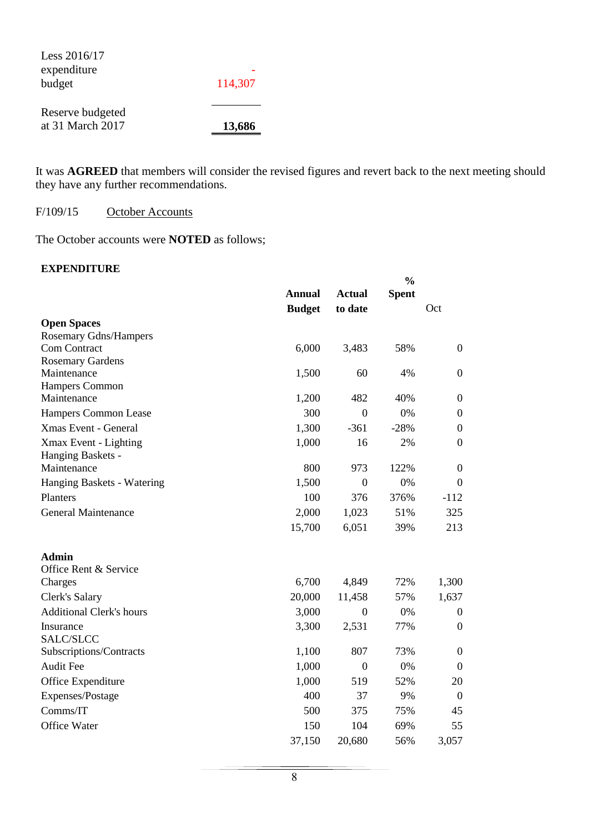Less 2016/17 expenditure budget

- 114,307

Reserve budgeted at 31 March 2017 **13,686**

It was **AGREED** that members will consider the revised figures and revert back to the next meeting should they have any further recommendations.

## F/109/15 October Accounts

The October accounts were **NOTED** as follows;

## **EXPENDITURE**

|                                            |               |                | $\frac{0}{0}$ |                  |  |
|--------------------------------------------|---------------|----------------|---------------|------------------|--|
|                                            | <b>Annual</b> | <b>Actual</b>  | <b>Spent</b>  |                  |  |
|                                            | <b>Budget</b> | to date        |               | Oct              |  |
| <b>Open Spaces</b>                         |               |                |               |                  |  |
| <b>Rosemary Gdns/Hampers</b>               |               |                |               |                  |  |
| Com Contract                               | 6,000         | 3,483          | 58%           | $\boldsymbol{0}$ |  |
| <b>Rosemary Gardens</b>                    |               |                |               |                  |  |
| Maintenance<br><b>Hampers Common</b>       | 1,500         | 60             | 4%            | $\boldsymbol{0}$ |  |
| Maintenance                                | 1,200         | 482            | 40%           | $\boldsymbol{0}$ |  |
| Hampers Common Lease                       | 300           | $\mathbf{0}$   | 0%            | $\boldsymbol{0}$ |  |
| <b>Xmas Event - General</b>                | 1,300         | $-361$         | $-28%$        | $\boldsymbol{0}$ |  |
|                                            | 1,000         | 16             | 2%            | $\boldsymbol{0}$ |  |
| Xmax Event - Lighting<br>Hanging Baskets - |               |                |               |                  |  |
| Maintenance                                | 800           | 973            | 122%          | $\boldsymbol{0}$ |  |
| Hanging Baskets - Watering                 | 1,500         | $\mathbf{0}$   | 0%            | $\boldsymbol{0}$ |  |
| Planters                                   | 100           | 376            | 376%          | $-112$           |  |
| General Maintenance                        | 2,000         | 1,023          | 51%           | 325              |  |
|                                            | 15,700        | 6,051          | 39%           | 213              |  |
| <b>Admin</b>                               |               |                |               |                  |  |
| Office Rent & Service                      |               |                |               |                  |  |
| Charges                                    | 6,700         | 4,849          | 72%           | 1,300            |  |
| Clerk's Salary                             | 20,000        | 11,458         | 57%           | 1,637            |  |
| <b>Additional Clerk's hours</b>            | 3,000         | $\overline{0}$ | 0%            | $\boldsymbol{0}$ |  |
| Insurance                                  | 3,300         | 2,531          | 77%           | $\boldsymbol{0}$ |  |
| SALC/SLCC                                  |               |                |               |                  |  |
| Subscriptions/Contracts                    | 1,100         | 807            | 73%           | $\boldsymbol{0}$ |  |
| <b>Audit Fee</b>                           | 1,000         | $\mathbf{0}$   | 0%            | $\boldsymbol{0}$ |  |
| Office Expenditure                         | 1,000         | 519            | 52%           | 20               |  |
| Expenses/Postage                           | 400           | 37             | 9%            | $\boldsymbol{0}$ |  |
| Comms/IT                                   | 500           | 375            | 75%           | 45               |  |
| Office Water                               | 150           | 104            | 69%           | 55               |  |
|                                            | 37,150        | 20,680         | 56%           | 3,057            |  |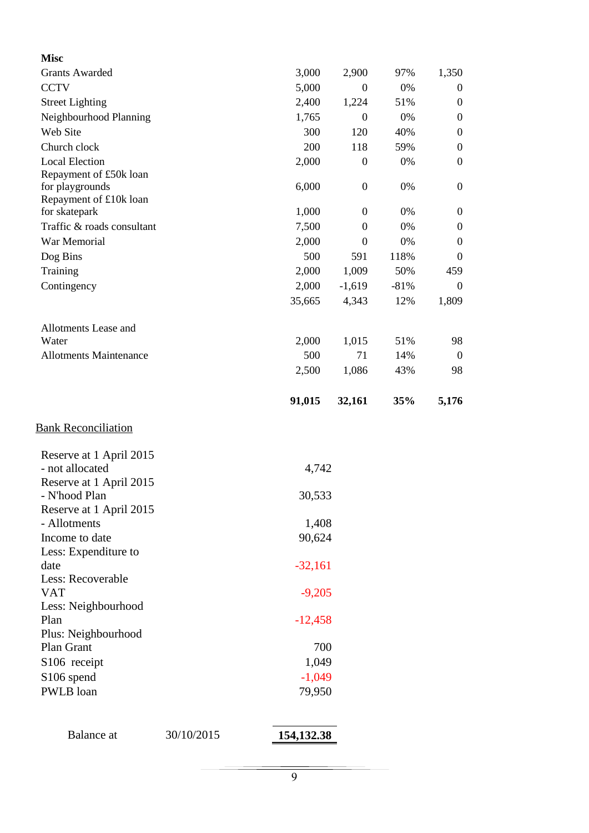| <b>Misc</b>                                 |            |              |                  |        |                  |
|---------------------------------------------|------------|--------------|------------------|--------|------------------|
| <b>Grants Awarded</b>                       |            | 3,000        | 2,900            | 97%    | 1,350            |
| <b>CCTV</b>                                 |            | 5,000        | $\boldsymbol{0}$ | 0%     | $\boldsymbol{0}$ |
| <b>Street Lighting</b>                      |            | 2,400        | 1,224            | 51%    | $\boldsymbol{0}$ |
| Neighbourhood Planning                      |            | 1,765        | $\boldsymbol{0}$ | 0%     | $\boldsymbol{0}$ |
| Web Site                                    |            | 300          | 120              | 40%    | $\boldsymbol{0}$ |
| Church clock                                |            | 200          | 118              | 59%    | $\boldsymbol{0}$ |
| <b>Local Election</b>                       |            | 2,000        | $\boldsymbol{0}$ | 0%     | $\mathbf{0}$     |
| Repayment of £50k loan                      |            |              |                  |        |                  |
| for playgrounds                             |            | 6,000        | $\overline{0}$   | 0%     | $\boldsymbol{0}$ |
| Repayment of £10k loan                      |            |              | $\mathbf{0}$     | 0%     | $\boldsymbol{0}$ |
| for skatepark<br>Traffic & roads consultant |            | 1,000        | $\overline{0}$   | 0%     | $\boldsymbol{0}$ |
| War Memorial                                |            | 7,500        |                  | 0%     |                  |
|                                             |            | 2,000<br>500 | $\overline{0}$   |        | $\boldsymbol{0}$ |
| Dog Bins                                    |            |              | 591              | 118%   | $\boldsymbol{0}$ |
| Training                                    |            | 2,000        | 1,009            | 50%    | 459              |
| Contingency                                 |            | 2,000        | $-1,619$         | $-81%$ | $\overline{0}$   |
|                                             |            | 35,665       | 4,343            | 12%    | 1,809            |
| Allotments Lease and                        |            |              |                  |        |                  |
| Water                                       |            | 2,000        | 1,015            | 51%    | 98               |
| <b>Allotments Maintenance</b>               |            | 500          | 71               | 14%    | $\overline{0}$   |
|                                             |            | 2,500        | 1,086            | 43%    | 98               |
|                                             |            |              |                  |        |                  |
|                                             |            | 91,015       | 32,161           | 35%    | 5,176            |
| <b>Bank Reconciliation</b>                  |            |              |                  |        |                  |
|                                             |            |              |                  |        |                  |
| Reserve at 1 April 2015<br>- not allocated  |            | 4,742        |                  |        |                  |
| Reserve at 1 April 2015                     |            |              |                  |        |                  |
| - N'hood Plan                               |            | 30,533       |                  |        |                  |
| Reserve at 1 April 2015                     |            |              |                  |        |                  |
| - Allotments                                |            | 1,408        |                  |        |                  |
| Income to date                              |            | 90,624       |                  |        |                  |
| Less: Expenditure to                        |            |              |                  |        |                  |
| date                                        |            | $-32,161$    |                  |        |                  |
| Less: Recoverable                           |            |              |                  |        |                  |
| VAT                                         |            | $-9,205$     |                  |        |                  |
| Less: Neighbourhood                         |            |              |                  |        |                  |
| Plan                                        |            | $-12,458$    |                  |        |                  |
| Plus: Neighbourhood<br>Plan Grant           |            | 700          |                  |        |                  |
| S106 receipt                                |            | 1,049        |                  |        |                  |
| S106 spend                                  |            | $-1,049$     |                  |        |                  |
| PWLB loan                                   |            | 79,950       |                  |        |                  |
|                                             |            |              |                  |        |                  |
|                                             |            |              |                  |        |                  |
| Balance at                                  | 30/10/2015 | 154, 132.38  |                  |        |                  |
|                                             |            |              |                  |        |                  |